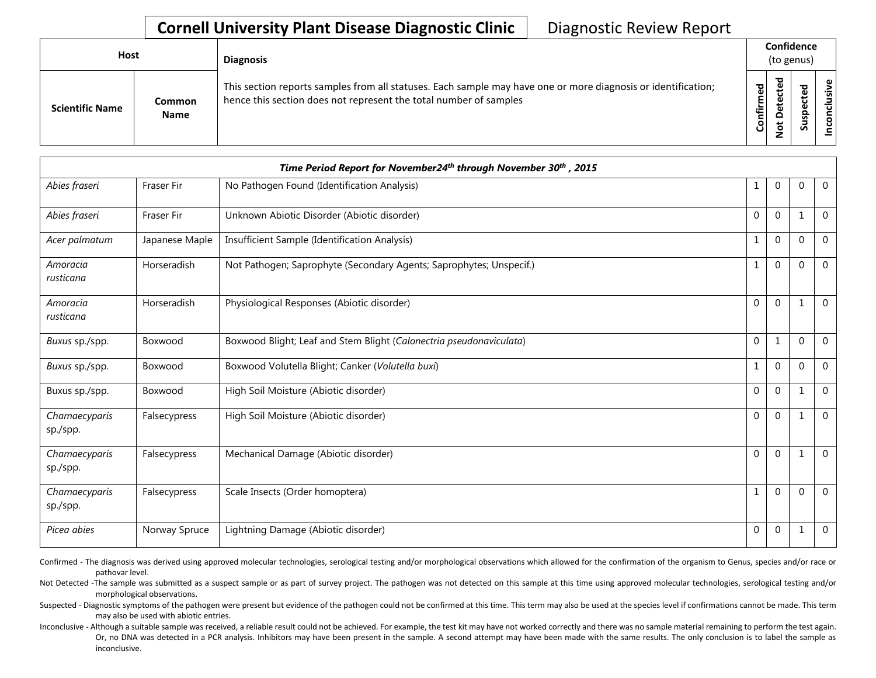## **Cornell University Plant Disease Diagnostic Clinic** | Diagnostic Review Report

| Host                   |                              | <b>Diagnosis</b>                                                                                                                                                                   |               | Confidence<br>(to genus)          |                            |                    |  |  |
|------------------------|------------------------------|------------------------------------------------------------------------------------------------------------------------------------------------------------------------------------|---------------|-----------------------------------|----------------------------|--------------------|--|--|
| <b>Scientific Name</b> | <b>Common</b><br><b>Name</b> | This section reports samples from all statuses. Each sample may have one or more diagnosis or identification;<br>hence this section does not represent the total number of samples | ဥ<br>Confirme | ъ<br>$\Omega$<br>پ<br>$\tilde{S}$ | ᅙ<br>ω<br>ω<br>௨<br>š<br>n | υ١<br>Ïš<br>۰<br>ت |  |  |

| Time Period Report for November24 <sup>th</sup> through November 30 <sup>th</sup> , 2015 |                   |                                                                     |                  |                |              |                |  |
|------------------------------------------------------------------------------------------|-------------------|---------------------------------------------------------------------|------------------|----------------|--------------|----------------|--|
| Abies fraseri                                                                            | <b>Fraser Fir</b> | No Pathogen Found (Identification Analysis)                         | 1                | $\overline{0}$ | $\mathbf{0}$ | $\overline{0}$ |  |
| Abies fraseri                                                                            | <b>Fraser Fir</b> | Unknown Abiotic Disorder (Abiotic disorder)                         | 0                | $\mathbf{0}$   | $\mathbf{1}$ | $\Omega$       |  |
| Acer palmatum                                                                            | Japanese Maple    | Insufficient Sample (Identification Analysis)                       | 1                | $\overline{0}$ | $\mathbf 0$  | $\mathbf 0$    |  |
| Amoracia<br>rusticana                                                                    | Horseradish       | Not Pathogen; Saprophyte (Secondary Agents; Saprophytes; Unspecif.) | 1                | $\mathbf 0$    | $\mathbf 0$  | $\overline{0}$ |  |
| Amoracia<br>rusticana                                                                    | Horseradish       | Physiological Responses (Abiotic disorder)                          | $\mathbf{0}$     | $\overline{0}$ | $\mathbf{1}$ | $\Omega$       |  |
| Buxus sp./spp.                                                                           | Boxwood           | Boxwood Blight; Leaf and Stem Blight (Calonectria pseudonaviculata) | 0                | 1              | $\mathbf 0$  | $\mathbf 0$    |  |
| Buxus sp./spp.                                                                           | Boxwood           | Boxwood Volutella Blight; Canker (Volutella buxi)                   | 1                | $\mathbf{0}$   | $\mathbf 0$  | $\mathbf 0$    |  |
| Buxus sp./spp.                                                                           | Boxwood           | High Soil Moisture (Abiotic disorder)                               | $\mathbf{0}$     | $\mathbf{0}$   | 1            | $\mathbf 0$    |  |
| Chamaecyparis<br>sp./spp.                                                                | Falsecypress      | High Soil Moisture (Abiotic disorder)                               | 0                | $\overline{0}$ | 1            | $\mathbf 0$    |  |
| Chamaecyparis<br>sp./spp.                                                                | Falsecypress      | Mechanical Damage (Abiotic disorder)                                | $\boldsymbol{0}$ | $\mathbf 0$    | $\mathbf{1}$ | $\Omega$       |  |
| Chamaecyparis<br>sp./spp.                                                                | Falsecypress      | Scale Insects (Order homoptera)                                     | 1                | $\mathbf{0}$   | $\mathbf 0$  | $\mathbf 0$    |  |
| Picea abies                                                                              | Norway Spruce     | Lightning Damage (Abiotic disorder)                                 | $\mathbf{0}$     | $\mathbf{0}$   | 1            | $\mathbf 0$    |  |

Confirmed - The diagnosis was derived using approved molecular technologies, serological testing and/or morphological observations which allowed for the confirmation of the organism to Genus, species and/or race or pathovar level.

Not Detected -The sample was submitted as a suspect sample or as part of survey project. The pathogen was not detected on this sample at this time using approved molecular technologies, serological testing and/or morphological observations.

Suspected - Diagnostic symptoms of the pathogen were present but evidence of the pathogen could not be confirmed at this time. This term may also be used at the species level if confirmations cannot be made. This term may also be used with abiotic entries.

Inconclusive - Although a suitable sample was received, a reliable result could not be achieved. For example, the test kit may have not worked correctly and there was no sample material remaining to perform the test again. Or, no DNA was detected in a PCR analysis. Inhibitors may have been present in the sample. A second attempt may have been made with the same results. The only conclusion is to label the sample as inconclusive.